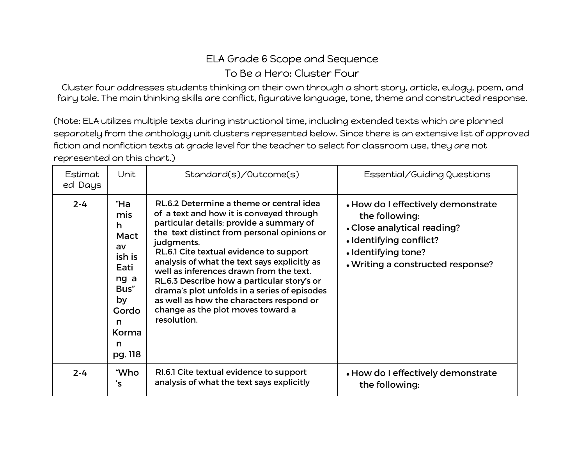## ELA Grade 6 Scope and Sequence To Be a Hero: Cluster Four

Cluster four addresses students thinking on their own through a short story, article, eulogy, poem, and fairy tale. The main thinking skills are conflict, figurative language, tone, theme and constructed response.

(Note: ELA utilizes multiple texts during instructional time, including extended texts which are planned separately from the anthology unit clusters represented below. Since there is an extensive list of approved fiction and nonfiction texts at grade level for the teacher to select for classroom use, they are not represented on this chart.)

| Estimat<br>ed Days | Unit                                                                                                         | Standard(s)/Outcome(s)                                                                                                                                                                                                                                                                                                                                                                                                                                                                                                             | Essential/Guiding Questions                                                                                                                                                |
|--------------------|--------------------------------------------------------------------------------------------------------------|------------------------------------------------------------------------------------------------------------------------------------------------------------------------------------------------------------------------------------------------------------------------------------------------------------------------------------------------------------------------------------------------------------------------------------------------------------------------------------------------------------------------------------|----------------------------------------------------------------------------------------------------------------------------------------------------------------------------|
| $2 - 4$            | "Ha<br>mis<br>h<br>Mact<br>av<br>ish is<br>Eati<br>ng a<br>Bus"<br>by<br>Gordo<br>n<br>Korma<br>n<br>pg. 118 | RL.6.2 Determine a theme or central idea<br>of a text and how it is conveyed through<br>particular details; provide a summary of<br>the text distinct from personal opinions or<br>judgments.<br>RL.6.1 Cite textual evidence to support<br>analysis of what the text says explicitly as<br>well as inferences drawn from the text.<br>RL.6.3 Describe how a particular story's or<br>drama's plot unfolds in a series of episodes<br>as well as how the characters respond or<br>change as the plot moves toward a<br>resolution. | • How do I effectively demonstrate<br>the following:<br>• Close analytical reading?<br>· Identifying conflict?<br>· Identifying tone?<br>. Writing a constructed response? |
| $2 - 4$            | "Who<br>'s                                                                                                   | RI.6.1 Cite textual evidence to support<br>analysis of what the text says explicitly                                                                                                                                                                                                                                                                                                                                                                                                                                               | . How do I effectively demonstrate<br>the following:                                                                                                                       |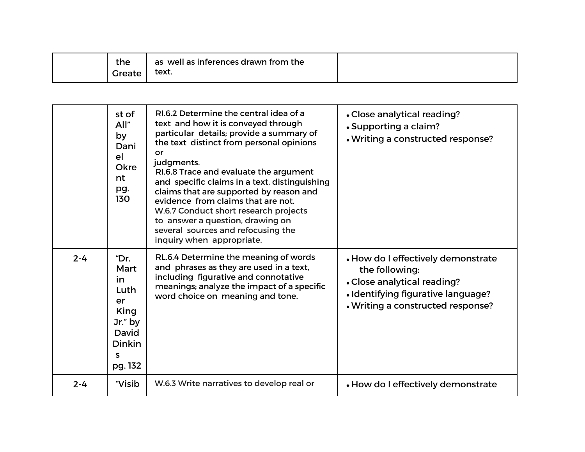| the    | as well as inferences drawn from the |  |
|--------|--------------------------------------|--|
| Greate | text.                                |  |

|         | st of<br>All"<br>by<br>Dani<br>e <sup>1</sup><br>Okre<br>nt<br>pg.<br>130                     | RI.6.2 Determine the central idea of a<br>text and how it is conveyed through<br>particular details; provide a summary of<br>the text distinct from personal opinions<br>or<br>judgments.<br>RI.6.8 Trace and evaluate the argument<br>and specific claims in a text, distinguishing<br>claims that are supported by reason and<br>evidence from claims that are not.<br>W.6.7 Conduct short research projects<br>to answer a question, drawing on<br>several sources and refocusing the<br>inquiry when appropriate. | • Close analytical reading?<br>• Supporting a claim?<br>. Writing a constructed response?                                                                      |
|---------|-----------------------------------------------------------------------------------------------|-----------------------------------------------------------------------------------------------------------------------------------------------------------------------------------------------------------------------------------------------------------------------------------------------------------------------------------------------------------------------------------------------------------------------------------------------------------------------------------------------------------------------|----------------------------------------------------------------------------------------------------------------------------------------------------------------|
| $2 - 4$ | "Dr.<br>Mart<br>in<br>Luth<br>er<br>King<br>Jr." by<br>David<br><b>Dinkin</b><br>S<br>pg. 132 | RL.6.4 Determine the meaning of words<br>and phrases as they are used in a text,<br>including figurative and connotative<br>meanings; analyze the impact of a specific<br>word choice on meaning and tone.                                                                                                                                                                                                                                                                                                            | • How do I effectively demonstrate<br>the following:<br>• Close analytical reading?<br>• Identifying figurative language?<br>. Writing a constructed response? |
| $2 - 4$ | "Visib                                                                                        | W.6.3 Write narratives to develop real or                                                                                                                                                                                                                                                                                                                                                                                                                                                                             | • How do I effectively demonstrate                                                                                                                             |